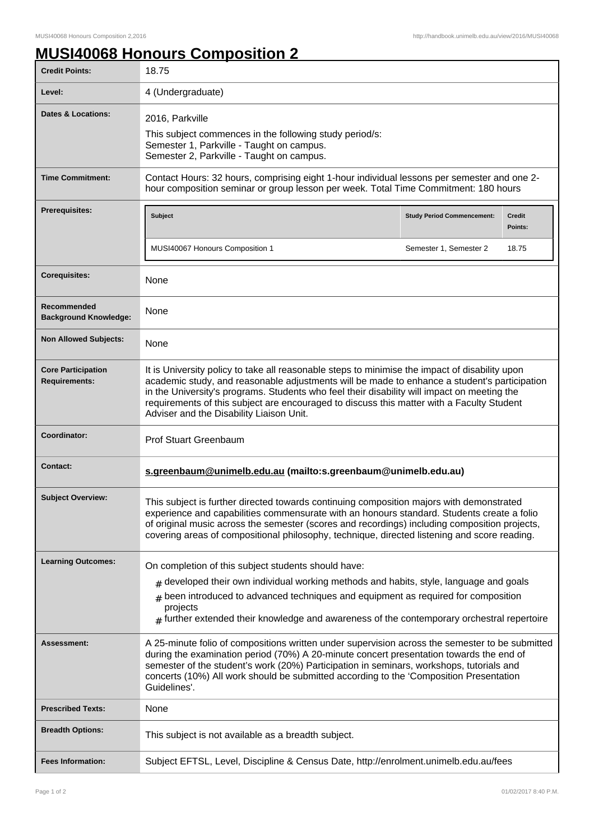## **MUSI40068 Honours Composition 2**

| <b>Credit Points:</b>                             | 18.75                                                                                                                                                                                                                                                                                                                                                                                                                                  |                                   |                   |
|---------------------------------------------------|----------------------------------------------------------------------------------------------------------------------------------------------------------------------------------------------------------------------------------------------------------------------------------------------------------------------------------------------------------------------------------------------------------------------------------------|-----------------------------------|-------------------|
| Level:                                            | 4 (Undergraduate)                                                                                                                                                                                                                                                                                                                                                                                                                      |                                   |                   |
| <b>Dates &amp; Locations:</b>                     | 2016, Parkville<br>This subject commences in the following study period/s:<br>Semester 1, Parkville - Taught on campus.<br>Semester 2, Parkville - Taught on campus.                                                                                                                                                                                                                                                                   |                                   |                   |
| <b>Time Commitment:</b>                           | Contact Hours: 32 hours, comprising eight 1-hour individual lessons per semester and one 2-<br>hour composition seminar or group lesson per week. Total Time Commitment: 180 hours                                                                                                                                                                                                                                                     |                                   |                   |
| <b>Prerequisites:</b>                             | Subject                                                                                                                                                                                                                                                                                                                                                                                                                                | <b>Study Period Commencement:</b> | Credit<br>Points: |
|                                                   | MUSI40067 Honours Composition 1                                                                                                                                                                                                                                                                                                                                                                                                        | Semester 1, Semester 2            | 18.75             |
| <b>Corequisites:</b>                              | None                                                                                                                                                                                                                                                                                                                                                                                                                                   |                                   |                   |
| Recommended<br><b>Background Knowledge:</b>       | None                                                                                                                                                                                                                                                                                                                                                                                                                                   |                                   |                   |
| <b>Non Allowed Subjects:</b>                      | None                                                                                                                                                                                                                                                                                                                                                                                                                                   |                                   |                   |
| <b>Core Participation</b><br><b>Requirements:</b> | It is University policy to take all reasonable steps to minimise the impact of disability upon<br>academic study, and reasonable adjustments will be made to enhance a student's participation<br>in the University's programs. Students who feel their disability will impact on meeting the<br>requirements of this subject are encouraged to discuss this matter with a Faculty Student<br>Adviser and the Disability Liaison Unit. |                                   |                   |
| Coordinator:                                      | <b>Prof Stuart Greenbaum</b>                                                                                                                                                                                                                                                                                                                                                                                                           |                                   |                   |
| <b>Contact:</b>                                   | s.greenbaum@unimelb.edu.au (mailto:s.greenbaum@unimelb.edu.au)                                                                                                                                                                                                                                                                                                                                                                         |                                   |                   |
| <b>Subject Overview:</b>                          | This subject is further directed towards continuing composition majors with demonstrated<br>experience and capabilities commensurate with an honours standard. Students create a folio<br>of original music across the semester (scores and recordings) including composition projects,<br>covering areas of compositional philosophy, technique, directed listening and score reading.                                                |                                   |                   |
| <b>Learning Outcomes:</b>                         | On completion of this subject students should have:                                                                                                                                                                                                                                                                                                                                                                                    |                                   |                   |
|                                                   | $_{\#}$ developed their own individual working methods and habits, style, language and goals<br>been introduced to advanced techniques and equipment as required for composition<br>#<br>projects<br>$#$ further extended their knowledge and awareness of the contemporary orchestral repertoire                                                                                                                                      |                                   |                   |
| Assessment:                                       | A 25-minute folio of compositions written under supervision across the semester to be submitted<br>during the examination period (70%) A 20-minute concert presentation towards the end of<br>semester of the student's work (20%) Participation in seminars, workshops, tutorials and<br>concerts (10%) All work should be submitted according to the 'Composition Presentation<br>Guidelines'.                                       |                                   |                   |
| <b>Prescribed Texts:</b>                          | None                                                                                                                                                                                                                                                                                                                                                                                                                                   |                                   |                   |
| <b>Breadth Options:</b>                           | This subject is not available as a breadth subject.                                                                                                                                                                                                                                                                                                                                                                                    |                                   |                   |
| <b>Fees Information:</b>                          | Subject EFTSL, Level, Discipline & Census Date, http://enrolment.unimelb.edu.au/fees                                                                                                                                                                                                                                                                                                                                                   |                                   |                   |